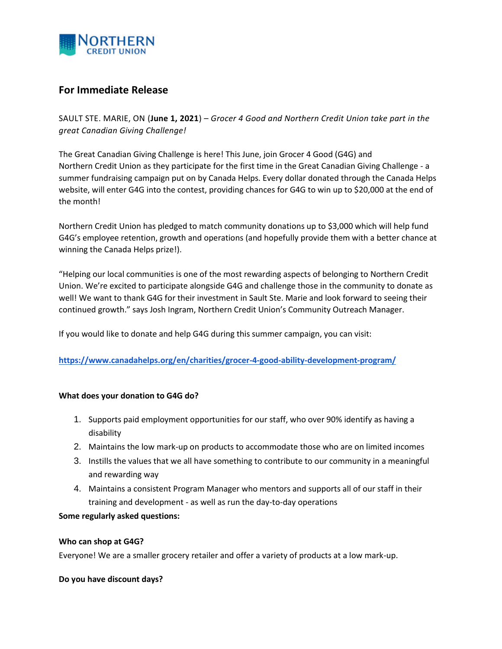

# **For Immediate Release**

SAULT STE. MARIE, ON (**June 1, 2021**) – *Grocer 4 Good and Northern Credit Union take part in the great Canadian Giving Challenge!*

The Great Canadian Giving Challenge is here! This June, join Grocer 4 Good (G4G) and Northern Credit Union as they participate for the first time in the Great Canadian Giving Challenge - a summer fundraising campaign put on by Canada Helps. Every dollar donated through the Canada Helps website, will enter G4G into the contest, providing chances for G4G to win up to \$20,000 at the end of the month!

Northern Credit Union has pledged to match community donations up to \$3,000 which will help fund G4G's employee retention, growth and operations (and hopefully provide them with a better chance at winning the Canada Helps prize!).

"Helping our local communities is one of the most rewarding aspects of belonging to Northern Credit Union. We're excited to participate alongside G4G and challenge those in the community to donate as well! We want to thank G4G for their investment in Sault Ste. Marie and look forward to seeing their continued growth." says Josh Ingram, Northern Credit Union's Community Outreach Manager.

If you would like to donate and help G4G during this summer campaign, you can visit:

**<https://www.canadahelps.org/en/charities/grocer-4-good-ability-development-program/>**

# **What does your donation to G4G do?**

- 1. Supports paid employment opportunities for our staff, who over 90% identify as having a disability
- 2. Maintains the low mark-up on products to accommodate those who are on limited incomes
- 3. Instills the values that we all have something to contribute to our community in a meaningful and rewarding way
- 4. Maintains a consistent Program Manager who mentors and supports all of our staff in their training and development - as well as run the day-to-day operations

# **Some regularly asked questions:**

#### **Who can shop at G4G?**

Everyone! We are a smaller grocery retailer and offer a variety of products at a low mark-up.

### **Do you have discount days?**